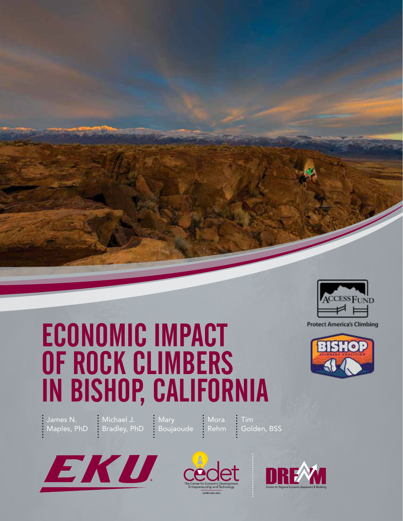

# ECONOMIC IMPACT OF ROCK CLIMBERS IN BISHOP, CALIFORNIA





James N. Michael J. Mary Mora Tim Maples, PhD Bradley, PhD Boujaoude Rehm Golden, BSS





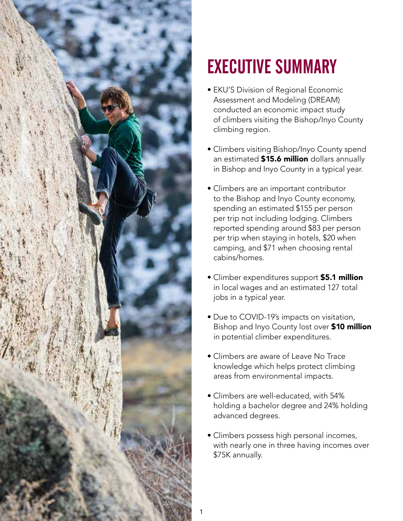

## EXECUTIVE SUMMARY

- EKU'S Division of Regional Economic Assessment and Modeling (DREAM) conducted an economic impact study of climbers visiting the Bishop/Inyo County climbing region.
- Climbers visiting Bishop/Inyo County spend an estimated \$15.6 million dollars annually in Bishop and Inyo County in a typical year.
- Climbers are an important contributor to the Bishop and Inyo County economy, spending an estimated \$155 per person per trip not including lodging. Climbers reported spending around \$83 per person per trip when staying in hotels, \$20 when camping, and \$71 when choosing rental cabins/homes.
- Climber expenditures support **\$5.1 million**  in local wages and an estimated 127 total jobs in a typical year.
- Bishop and Inyo County lost over \$10 million • Due to COVID-19's impacts on visitation, in potential climber expenditures.
- Climbers are aware of Leave No Trace knowledge which helps protect climbing areas from environmental impacts.
- Climbers are well-educated, with 54% holding a bachelor degree and 24% holding advanced degrees.
- Climbers possess high personal incomes, with nearly one in three having incomes over \$75K annually.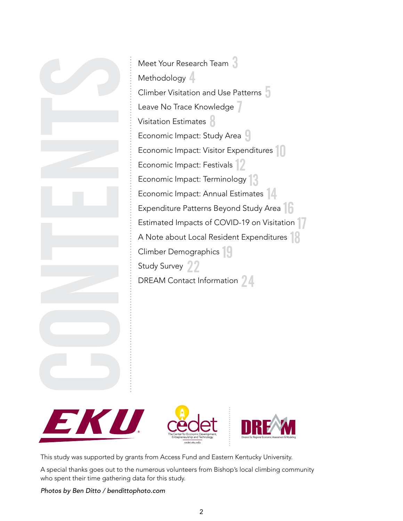







This study was supported by grants from Access Fund and Eastern Kentucky University.

A special thanks goes out to the numerous volunteers from Bishop's local climbing community who spent their time gathering data for this study.

*Photos by Ben Ditto / [bendittophoto.com](https://bendittophoto.com)*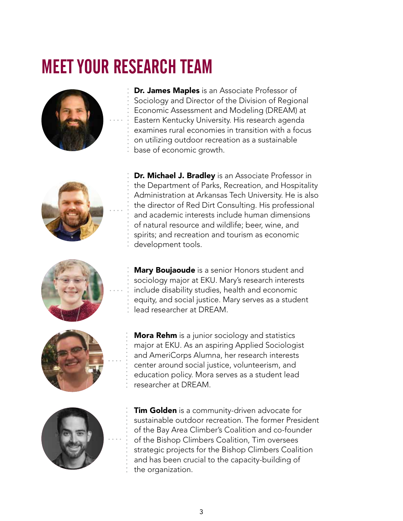### MEET YOUR RESEARCH TEAM



Dr. James Maples is an Associate Professor of Sociology and Director of the Division of Regional Economic Assessment and Modeling (DREAM) at Eastern Kentucky University. His research agenda examines rural economies in transition with a focus on utilizing outdoor recreation as a sustainable base of economic growth.



Dr. Michael J. Bradley is an Associate Professor in the Department of Parks, Recreation, and Hospitality Administration at Arkansas Tech University. He is also the director of Red Dirt Consulting. His professional and academic interests include human dimensions of natural resource and wildlife; beer, wine, and spirits; and recreation and tourism as economic development tools.



**Mary Boujaoude** is a senior Honors student and sociology major at EKU. Mary's research interests include disability studies, health and economic equity, and social justice. Mary serves as a student lead researcher at DREAM.



**Mora Rehm** is a junior sociology and statistics major at EKU. As an aspiring Applied Sociologist and AmeriCorps Alumna, her research interests center around social justice, volunteerism, and education policy. Mora serves as a student lead researcher at DREAM.



**Tim Golden** is a community-driven advocate for sustainable outdoor recreation. The former President of the Bay Area Climber's Coalition and co-founder of the Bishop Climbers Coalition, Tim oversees strategic projects for the Bishop Climbers Coalition and has been crucial to the capacity-building of the organization.

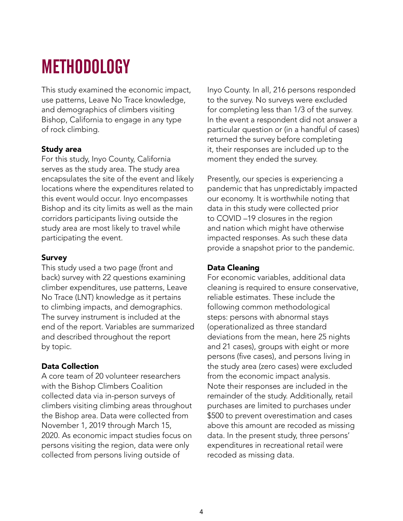### METHODOLOGY

This study examined the economic impact, use patterns, Leave No Trace knowledge, and demographics of climbers visiting Bishop, California to engage in any type of rock climbing.

#### Study area

For this study, Inyo County, California serves as the study area. The study area encapsulates the site of the event and likely locations where the expenditures related to this event would occur. Inyo encompasses Bishop and its city limits as well as the main corridors participants living outside the study area are most likely to travel while participating the event.

#### Survey

This study used a two page (front and back) survey with 22 questions examining climber expenditures, use patterns, Leave No Trace (LNT) knowledge as it pertains to climbing impacts, and demographics. The survey instrument is included at the end of the report. Variables are summarized and described throughout the report by topic.

### Data Collection

A core team of 20 volunteer researchers with the Bishop Climbers Coalition collected data via in-person surveys of climbers visiting climbing areas throughout the Bishop area. Data were collected from November 1, 2019 through March 15, 2020. As economic impact studies focus on persons visiting the region, data were only collected from persons living outside of

Inyo County. In all, 216 persons responded to the survey. No surveys were excluded for completing less than 1/3 of the survey. In the event a respondent did not answer a particular question or (in a handful of cases) returned the survey before completing it, their responses are included up to the moment they ended the survey.

Presently, our species is experiencing a pandemic that has unpredictably impacted our economy. It is worthwhile noting that data in this study were collected prior to COVID –19 closures in the region and nation which might have otherwise impacted responses. As such these data provide a snapshot prior to the pandemic.

### Data Cleaning

For economic variables, additional data cleaning is required to ensure conservative, reliable estimates. These include the following common methodological steps: persons with abnormal stays (operationalized as three standard deviations from the mean, here 25 nights and 21 cases), groups with eight or more persons (five cases), and persons living in the study area (zero cases) were excluded from the economic impact analysis. Note their responses are included in the remainder of the study. Additionally, retail purchases are limited to purchases under \$500 to prevent overestimation and cases above this amount are recoded as missing data. In the present study, three persons' expenditures in recreational retail were recoded as missing data.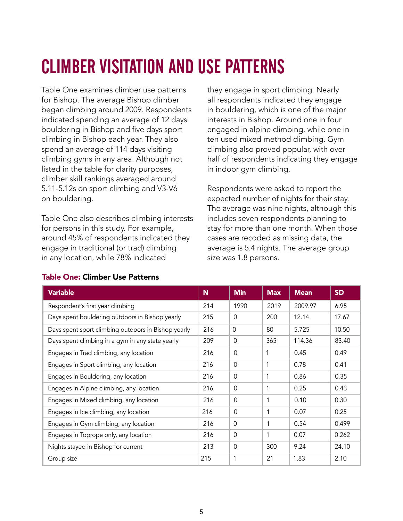## CLIMBER VISITATION AND USE PATTERNS

Table One examines climber use patterns for Bishop. The average Bishop climber began climbing around 2009. Respondents indicated spending an average of 12 days bouldering in Bishop and five days sport climbing in Bishop each year. They also spend an average of 114 days visiting climbing gyms in any area. Although not listed in the table for clarity purposes, climber skill rankings averaged around 5.11-5.12s on sport climbing and V3-V6 on bouldering.

Table One also describes climbing interests for persons in this study. For example, around 45% of respondents indicated they engage in traditional (or trad) climbing in any location, while 78% indicated

they engage in sport climbing. Nearly all respondents indicated they engage in bouldering, which is one of the major interests in Bishop. Around one in four engaged in alpine climbing, while one in ten used mixed method climbing. Gym climbing also proved popular, with over half of respondents indicating they engage in indoor gym climbing.

Respondents were asked to report the expected number of nights for their stay. The average was nine nights, although this includes seven respondents planning to stay for more than one month. When those cases are recoded as missing data, the average is 5.4 nights. The average group size was 1.8 persons.

| <b>Variable</b>                                     | N   | <b>Min</b>  | <b>Max</b> | <b>Mean</b> | <b>SD</b> |
|-----------------------------------------------------|-----|-------------|------------|-------------|-----------|
| Respondent's first year climbing                    | 214 | 1990        | 2019       | 2009.97     | 6.95      |
| Days spent bouldering outdoors in Bishop yearly     | 215 | $\Omega$    | 200        | 12.14       | 17.67     |
| Days spent sport climbing outdoors in Bishop yearly | 216 | $\Omega$    | 80         | 5.725       | 10.50     |
| Days spent climbing in a gym in any state yearly    | 209 | $\Omega$    | 365        | 114.36      | 83.40     |
| Engages in Trad climbing, any location              | 216 | $\Omega$    | 1          | 0.45        | 0.49      |
| Engages in Sport climbing, any location             | 216 | $\Omega$    | 1          | 0.78        | 0.41      |
| Engages in Bouldering, any location                 | 216 | $\Omega$    | 1          | 0.86        | 0.35      |
| Engages in Alpine climbing, any location            | 216 | $\Omega$    | 1          | 0.25        | 0.43      |
| Engages in Mixed climbing, any location             | 216 | $\Omega$    | 1          | 0.10        | 0.30      |
| Engages in Ice climbing, any location               | 216 | $\Omega$    | 1          | 0.07        | 0.25      |
| Engages in Gym climbing, any location               | 216 | $\Omega$    | 1          | 0.54        | 0.499     |
| Engages in Toprope only, any location               | 216 | $\Omega$    | 1          | 0.07        | 0.262     |
| Nights stayed in Bishop for current                 | 213 | $\mathbf 0$ | 300        | 9.24        | 24.10     |
| Group size                                          | 215 | 1           | 21         | 1.83        | 2.10      |

### Table One: Climber Use Patterns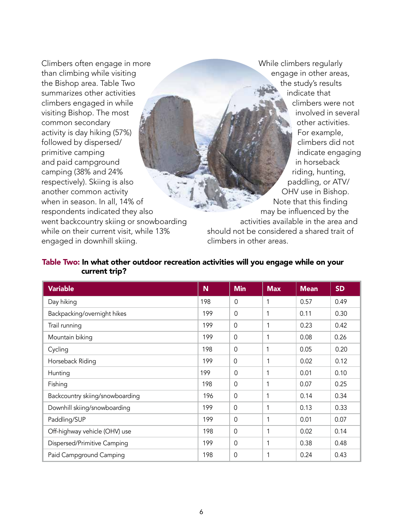Climbers often engage in more than climbing while visiting the Bishop area. Table Two summarizes other activities climbers engaged in while visiting Bishop. The most common secondary activity is day hiking (57%) followed by dispersed/ primitive camping and paid campground camping (38% and 24% respectively). Skiing is also another common activity when in season. In all, 14% of respondents indicated they also went backcountry skiing or snowboarding while on their current visit, while 13% engaged in downhill skiing.

While climbers regularly engage in other areas, the study's results indicate that climbers were not involved in several other activities. For example, climbers did not indicate engaging in horseback riding, hunting, paddling, or ATV/ OHV use in Bishop. Note that this finding may be influenced by the activities available in the area and should not be considered a shared trait of climbers in other areas.

#### Table Two: In what other outdoor recreation activities will you engage while on your current trip?

| <b>Variable</b>                 | N   | <b>Min</b>     | <b>Max</b> | <b>Mean</b> | <b>SD</b> |
|---------------------------------|-----|----------------|------------|-------------|-----------|
| Day hiking                      | 198 | $\Omega$       | 1          | 0.57        | 0.49      |
| Backpacking/overnight hikes     | 199 | $\mathbf 0$    | 1          | 0.11        | 0.30      |
| Trail running                   | 199 | $\overline{0}$ |            | 0.23        | 0.42      |
| Mountain biking                 | 199 | $\overline{0}$ |            | 0.08        | 0.26      |
| Cycling                         | 198 | $\mathbf 0$    | 1          | 0.05        | 0.20      |
| Horseback Riding                | 199 | $\overline{0}$ |            | 0.02        | 0.12      |
| Hunting                         | 199 | $\Omega$       | 1          | 0.01        | 0.10      |
| Fishing                         | 198 | $\Omega$       | 1          | 0.07        | 0.25      |
| Backcountry skiing/snowboarding | 196 | $\mathbf 0$    | 1          | 0.14        | 0.34      |
| Downhill skiing/snowboarding    | 199 | $\Omega$       | 1          | 0.13        | 0.33      |
| Paddling/SUP                    | 199 | $\mathbf 0$    |            | 0.01        | 0.07      |
| Off-highway vehicle (OHV) use   | 198 | $\overline{0}$ |            | 0.02        | 0.14      |
| Dispersed/Primitive Camping     | 199 | $\Omega$       |            | 0.38        | 0.48      |
| Paid Campground Camping         | 198 | $\Omega$       |            | 0.24        | 0.43      |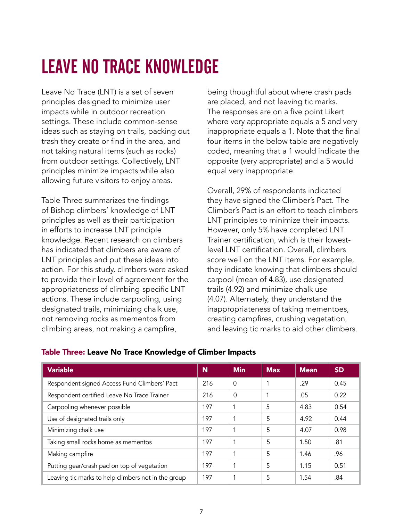# LEAVE NO TRACE KNOWLEDGE

Leave No Trace (LNT) is a set of seven principles designed to minimize user impacts while in outdoor recreation settings. These include common-sense ideas such as staying on trails, packing out trash they create or find in the area, and not taking natural items (such as rocks) from outdoor settings. Collectively, LNT principles minimize impacts while also allowing future visitors to enjoy areas.

Table Three summarizes the findings of Bishop climbers' knowledge of LNT principles as well as their participation in efforts to increase LNT principle knowledge. Recent research on climbers has indicated that climbers are aware of LNT principles and put these ideas into action. For this study, climbers were asked to provide their level of agreement for the appropriateness of climbing-specific LNT actions. These include carpooling, using designated trails, minimizing chalk use, not removing rocks as mementos from climbing areas, not making a campfire,

being thoughtful about where crash pads are placed, and not leaving tic marks. The responses are on a five point Likert where very appropriate equals a 5 and very inappropriate equals a 1. Note that the final four items in the below table are negatively coded, meaning that a 1 would indicate the opposite (very appropriate) and a 5 would equal very inappropriate.

Overall, 29% of respondents indicated they have signed the Climber's Pact. The Climber's Pact is an effort to teach climbers LNT principles to minimize their impacts. However, only 5% have completed LNT Trainer certification, which is their lowestlevel LNT certification. Overall, climbers score well on the LNT items. For example, they indicate knowing that climbers should carpool (mean of 4.83), use designated trails (4.92) and minimize chalk use (4.07). Alternately, they understand the inappropriateness of taking mementoes, creating campfires, crushing vegetation, and leaving tic marks to aid other climbers.

| <b>Variable</b>                                     | N   | <b>Min</b> | <b>Max</b> | <b>Mean</b> | <b>SD</b> |
|-----------------------------------------------------|-----|------------|------------|-------------|-----------|
| Respondent signed Access Fund Climbers' Pact        | 216 | $\Omega$   |            | .29         | 0.45      |
| Respondent certified Leave No Trace Trainer         | 216 | $\Omega$   |            | .05         | 0.22      |
| Carpooling whenever possible                        | 197 | 1          | 5          | 4.83        | 0.54      |
| Use of designated trails only                       | 197 |            | 5          | 4.92        | 0.44      |
| Minimizing chalk use                                | 197 |            | 5          | 4.07        | 0.98      |
| Taking small rocks home as mementos                 | 197 |            | 5          | 1.50        | .81       |
| Making campfire                                     | 197 |            | 5          | 1.46        | .96       |
| Putting gear/crash pad on top of vegetation         | 197 |            | 5          | 1.15        | 0.51      |
| Leaving tic marks to help climbers not in the group | 197 | 1          | 5          | 1.54        | .84       |

### Table Three: Leave No Trace Knowledge of Climber Impacts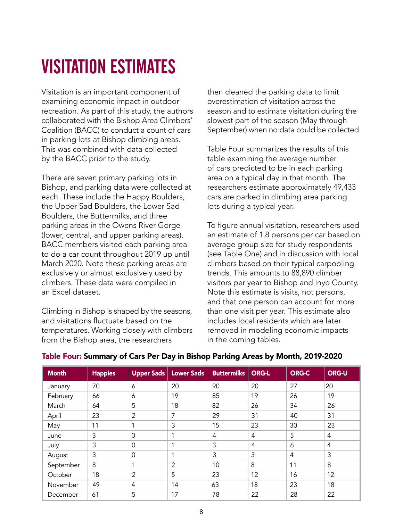### VISITATION ESTIMATES

Visitation is an important component of examining economic impact in outdoor recreation. As part of this study, the authors collaborated with the Bishop Area Climbers' Coalition (BACC) to conduct a count of cars in parking lots at Bishop climbing areas. This was combined with data collected by the BACC prior to the study.

There are seven primary parking lots in Bishop, and parking data were collected at each. These include the Happy Boulders, the Upper Sad Boulders, the Lower Sad Boulders, the Buttermilks, and three parking areas in the Owens River Gorge (lower, central, and upper parking areas). BACC members visited each parking area to do a car count throughout 2019 up until March 2020. Note these parking areas are exclusively or almost exclusively used by climbers. These data were compiled in an Excel dataset.

Climbing in Bishop is shaped by the seasons, and visitations fluctuate based on the temperatures. Working closely with climbers from the Bishop area, the researchers

then cleaned the parking data to limit overestimation of visitation across the season and to estimate visitation during the slowest part of the season (May through September) when no data could be collected.

Table Four summarizes the results of this table examining the average number of cars predicted to be in each parking area on a typical day in that month. The researchers estimate approximately 49,433 cars are parked in climbing area parking lots during a typical year.

To figure annual visitation, researchers used an estimate of 1.8 persons per car based on average group size for study respondents (see Table One) and in discussion with local climbers based on their typical carpooling trends. This amounts to 88,890 climber visitors per year to Bishop and Inyo County. Note this estimate is visits, not persons, and that one person can account for more than one visit per year. This estimate also includes local residents which are later removed in modeling economic impacts in the coming tables.

| <b>Month</b> | <b>Happies</b> | <b>Upper Sads</b> | <b>Lower Sads</b> | <b>Buttermilks</b> | <b>ORG-L</b>   | <b>ORG-C</b> | <b>ORG-U</b>   |
|--------------|----------------|-------------------|-------------------|--------------------|----------------|--------------|----------------|
| January      | 70             | 6                 | 20                | 90                 | 20             | 27           | 20             |
| February     | 66             | 6                 | 19                | 85                 | 19             | 26           | 19             |
| March        | 64             | 5                 | 18                | 82                 | 26             | 34           | 26             |
| April        | 23             | 2                 | 7                 | 29                 | 31             | 40           | 31             |
| May          | 11             | 1                 | 3                 | 15                 | 23             | 30           | 23             |
| June         | 3              | $\overline{0}$    | 1                 | 4                  | $\overline{4}$ | 5            | 4              |
| July         | 3              | $\overline{0}$    | 1                 | 3                  | $\overline{4}$ | 6            | $\overline{4}$ |
| August       | 3              | $\overline{0}$    | 1                 | 3                  | 3              | 4            | 3              |
| September    | 8              | 1                 | 2                 | 10                 | 8              | 11           | 8              |
| October      | 18             | 2                 | 5                 | 23                 | 12             | 16           | 12             |
| November     | 49             | $\overline{4}$    | 14                | 63                 | 18             | 23           | 18             |
| December     | 61             | 5                 | 17                | 78                 | 22             | 28           | 22             |

### Table Four: Summary of Cars Per Day in Bishop Parking Areas by Month, 2019-2020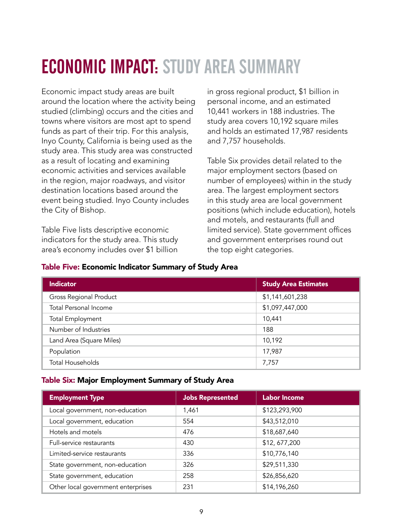### ECONOMIC IMPACT: STUDY AREA SUMMARY

Economic impact study areas are built around the location where the activity being studied (climbing) occurs and the cities and towns where visitors are most apt to spend funds as part of their trip. For this analysis, Inyo County, California is being used as the study area. This study area was constructed as a result of locating and examining economic activities and services available in the region, major roadways, and visitor destination locations based around the event being studied. Inyo County includes the City of Bishop.

Table Five lists descriptive economic indicators for the study area. This study area's economy includes over \$1 billion

in gross regional product, \$1 billion in personal income, and an estimated 10,441 workers in 188 industries. The study area covers 10,192 square miles and holds an estimated 17,987 residents and 7,757 households.

Table Six provides detail related to the major employment sectors (based on number of employees) within in the study area. The largest employment sectors in this study area are local government positions (which include education), hotels and motels, and restaurants (full and limited service). State government offices and government enterprises round out the top eight categories.

| <b>Indicator</b>              | <b>Study Area Estimates</b> |
|-------------------------------|-----------------------------|
| <b>Gross Regional Product</b> | \$1,141,601,238             |
| <b>Total Personal Income</b>  | \$1,097,447,000             |
| <b>Total Employment</b>       | 10,441                      |
| Number of Industries          | 188                         |
| Land Area (Square Miles)      | 10,192                      |
| Population                    | 17,987                      |
| <b>Total Households</b>       | 7,757                       |

#### Table Five: Economic Indicator Summary of Study Area

#### Table Six: Major Employment Summary of Study Area

| <b>Employment Type</b>             | <b>Jobs Represented</b> | <b>Labor Income</b> |
|------------------------------------|-------------------------|---------------------|
| Local government, non-education    | 1,461                   | \$123,293,900       |
| Local government, education        | 554                     | \$43,512,010        |
| Hotels and motels                  | 476                     | \$18,687,640        |
| Full-service restaurants           | 430                     | \$12,677,200        |
| Limited-service restaurants        | 336                     | \$10,776,140        |
| State government, non-education    | 326                     | \$29,511,330        |
| State government, education        | 258                     | \$26,856,620        |
| Other local government enterprises | 231                     | \$14,196,260        |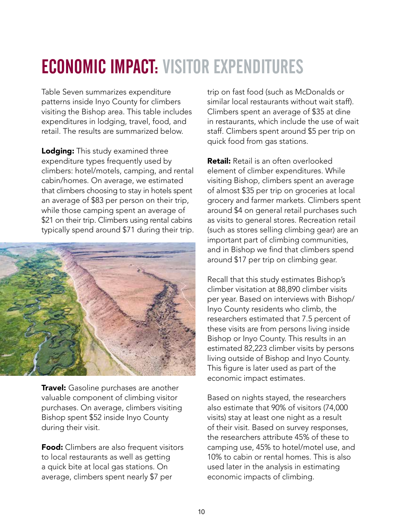### ECONOMIC IMPACT: VISITOR EXPENDITURES

Table Seven summarizes expenditure patterns inside Inyo County for climbers visiting the Bishop area. This table includes expenditures in lodging, travel, food, and retail. The results are summarized below.

**Lodging:** This study examined three expenditure types frequently used by climbers: hotel/motels, camping, and rental cabin/homes. On average, we estimated that climbers choosing to stay in hotels spent an average of \$83 per person on their trip, while those camping spent an average of \$21 on their trip. Climbers using rental cabins typically spend around \$71 during their trip.



**Travel:** Gasoline purchases are another valuable component of climbing visitor purchases. On average, climbers visiting Bishop spent \$52 inside Inyo County during their visit.

**Food:** Climbers are also frequent visitors to local restaurants as well as getting a quick bite at local gas stations. On average, climbers spent nearly \$7 per

trip on fast food (such as McDonalds or similar local restaurants without wait staff). Climbers spent an average of \$35 at dine in restaurants, which include the use of wait staff. Climbers spent around \$5 per trip on quick food from gas stations.

**Retail:** Retail is an often overlooked element of climber expenditures. While visiting Bishop, climbers spent an average of almost \$35 per trip on groceries at local grocery and farmer markets. Climbers spent around \$4 on general retail purchases such as visits to general stores. Recreation retail (such as stores selling climbing gear) are an important part of climbing communities, and in Bishop we find that climbers spend around \$17 per trip on climbing gear.

Recall that this study estimates Bishop's climber visitation at 88,890 climber visits per year. Based on interviews with Bishop/ Inyo County residents who climb, the researchers estimated that 7.5 percent of these visits are from persons living inside Bishop or Inyo County. This results in an estimated 82,223 climber visits by persons living outside of Bishop and Inyo County. This figure is later used as part of the economic impact estimates.

Based on nights stayed, the researchers also estimate that 90% of visitors (74,000 visits) stay at least one night as a result of their visit. Based on survey responses, the researchers attribute 45% of these to camping use, 45% to hotel/motel use, and 10% to cabin or rental homes. This is also used later in the analysis in estimating economic impacts of climbing.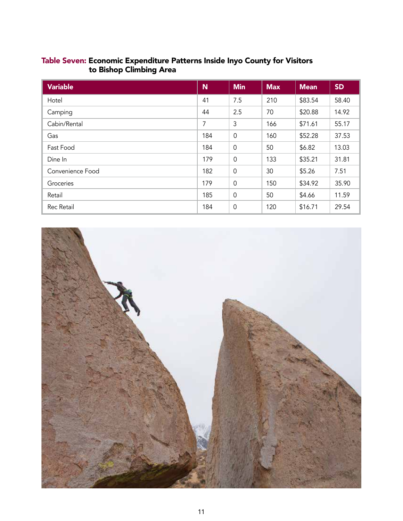|  | Table Seven: Economic Expenditure Patterns Inside Inyo County for Visitors |  |  |
|--|----------------------------------------------------------------------------|--|--|
|  | to Bishop Climbing Area                                                    |  |  |

| <b>Variable</b>  | N   | <b>Min</b>  | <b>Max</b> | <b>Mean</b> | <b>SD</b> |
|------------------|-----|-------------|------------|-------------|-----------|
| Hotel            | 41  | 7.5         | 210        | \$83.54     | 58.40     |
| Camping          | 44  | 2.5         | 70         | \$20.88     | 14.92     |
| Cabin/Rental     | 7   | 3           | 166        | \$71.61     | 55.17     |
| Gas              | 184 | $\mathbf 0$ | 160        | \$52.28     | 37.53     |
| Fast Food        | 184 | $\mathbf 0$ | 50         | \$6.82      | 13.03     |
| Dine In          | 179 | $\mathbf 0$ | 133        | \$35.21     | 31.81     |
| Convenience Food | 182 | $\mathbf 0$ | 30         | \$5.26      | 7.51      |
| Groceries        | 179 | $\mathbf 0$ | 150        | \$34.92     | 35.90     |
| Retail           | 185 | $\mathbf 0$ | 50         | \$4.66      | 11.59     |
| Rec Retail       | 184 | $\mathbf 0$ | 120        | \$16.71     | 29.54     |

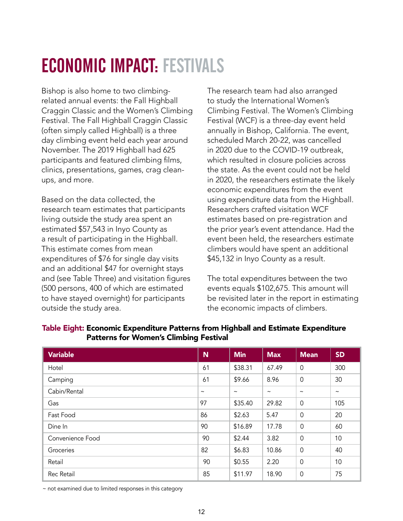### ECONOMIC IMPACT: FESTIVALS

Bishop is also home to two climbingrelated annual events: the Fall Highball Craggin Classic and the Women's Climbing Festival. The Fall Highball Craggin Classic (often simply called Highball) is a three day climbing event held each year around November. The 2019 Highball had 625 participants and featured climbing films, clinics, presentations, games, crag cleanups, and more.

Based on the data collected, the research team estimates that participants living outside the study area spent an estimated \$57,543 in Inyo County as a result of participating in the Highball. This estimate comes from mean expenditures of \$76 for single day visits and an additional \$47 for overnight stays and (see Table Three) and visitation figures (500 persons, 400 of which are estimated to have stayed overnight) for participants outside the study area.

The research team had also arranged to study the International Women's Climbing Festival. The Women's Climbing Festival (WCF) is a three-day event held annually in Bishop, California. The event, scheduled March 20-22, was cancelled in 2020 due to the COVID-19 outbreak, which resulted in closure policies across the state. As the event could not be held in 2020, the researchers estimate the likely economic expenditures from the event using expenditure data from the Highball. Researchers crafted visitation WCF estimates based on pre-registration and the prior year's event attendance. Had the event been held, the researchers estimate climbers would have spent an additional \$45,132 in Inyo County as a result.

The total expenditures between the two events equals \$102,675. This amount will be revisited later in the report in estimating the economic impacts of climbers.

| <b>Variable</b>  | <b>N</b>   | <b>Min</b> | <b>Max</b> | <b>Mean</b>    | <b>SD</b>  |
|------------------|------------|------------|------------|----------------|------------|
| Hotel            | 61         | \$38.31    | 67.49      | $\overline{0}$ | 300        |
| Camping          | 61         | \$9.66     | 8.96       | $\Omega$       | 30         |
| Cabin/Rental     | $\tilde{}$ | $\tilde{}$ | $\tilde{}$ | $\tilde{}$     | $\tilde{}$ |
| Gas              | 97         | \$35.40    | 29.82      | $\overline{0}$ | 105        |
| Fast Food        | 86         | \$2.63     | 5.47       | $\overline{0}$ | 20         |
| Dine In          | 90         | \$16.89    | 17.78      | $\Omega$       | 60         |
| Convenience Food | 90         | \$2.44     | 3.82       | $\Omega$       | 10         |
| Groceries        | 82         | \$6.83     | 10.86      | $\mathbf 0$    | 40         |
| Retail           | 90         | \$0.55     | 2.20       | $\overline{0}$ | 10         |
| Rec Retail       | 85         | \$11.97    | 18.90      | $\mathbf 0$    | 75         |

#### Table Eight: Economic Expenditure Patterns from Highball and Estimate Expenditure Patterns for Women's Climbing Festival

~ not examined due to limited responses in this category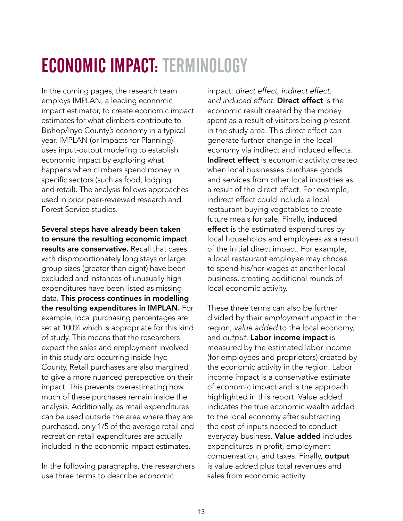### ECONOMIC IMPACT: TERMINOLOGY

In the coming pages, the research team employs IMPLAN, a leading economic impact estimator, to create economic impact estimates for what climbers contribute to Bishop/Inyo County's economy in a typical year. IMPLAN (or Impacts for Planning) uses input-output modeling to establish economic impact by exploring what happens when climbers spend money in specific sectors (such as food, lodging, and retail). The analysis follows approaches used in prior peer-reviewed research and Forest Service studies.

Several steps have already been taken to ensure the resulting economic impact results are conservative. Recall that cases with disproportionately long stays or large group sizes (greater than eight) have been excluded and instances of unusually high expenditures have been listed as missing data. This process continues in modelling the resulting expenditures in IMPLAN. For example, local purchasing percentages are set at 100% which is appropriate for this kind of study. This means that the researchers expect the sales and employment involved in this study are occurring inside Inyo County. Retail purchases are also margined to give a more nuanced perspective on their impact. This prevents overestimating how much of these purchases remain inside the analysis. Additionally, as retail expenditures can be used outside the area where they are purchased, only 1/5 of the average retail and recreation retail expenditures are actually included in the economic impact estimates.

In the following paragraphs, the researchers use three terms to describe economic

impact: *direct effect, indirect effect, and induced effect*. Direct effect is the economic result created by the money spent as a result of visitors being present in the study area. This direct effect can generate further change in the local economy via indirect and induced effects. Indirect effect is economic activity created when local businesses purchase goods and services from other local industries as a result of the direct effect. For example, indirect effect could include a local restaurant buying vegetables to create future meals for sale. Finally, induced effect is the estimated expenditures by local households and employees as a result of the initial direct impact. For example, a local restaurant employee may choose to spend his/her wages at another local business, creating additional rounds of local economic activity.

compensation, and taxes. Finally, **output** These three terms can also be further divided by their *employment impact* in the region, *value added* to the local economy, and *output*. Labor income impact is measured by the estimated labor income (for employees and proprietors) created by the economic activity in the region. Labor income impact is a conservative estimate of economic impact and is the approach highlighted in this report. Value added indicates the true economic wealth added to the local economy after subtracting the cost of inputs needed to conduct everyday business. Value added includes expenditures in profit, employment is value added plus total revenues and sales from economic activity.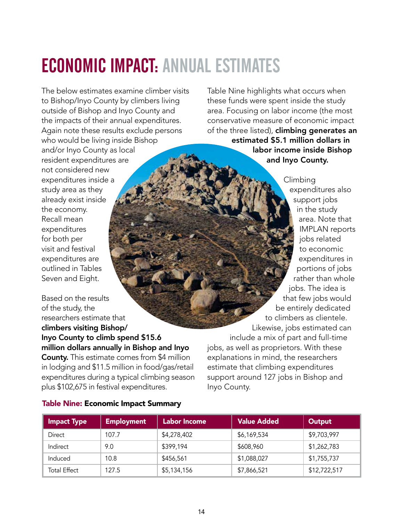## ECONOMIC IMPACT: ANNUAL ESTIMATES

The below estimates examine climber visits to Bishop/Inyo County by climbers living outside of Bishop and Inyo County and the impacts of their annual expenditures. Again note these results exclude persons who would be living inside Bishop and/or Inyo County as local resident expenditures are not considered new expenditures inside a study area as they already exist inside the economy. Recall mean expenditures for both per visit and festival expenditures are outlined in Tables Seven and Eight.

Based on the results of the study, the researchers estimate that climbers visiting Bishop/ Inyo County to climb spend \$15.6 million dollars annually in Bishop and Inyo **County.** This estimate comes from \$4 million in lodging and \$11.5 million in food/gas/retail expenditures during a typical climbing season plus \$102,675 in festival expenditures.

Table Nine highlights what occurs when these funds were spent inside the study area. Focusing on labor income (the most conservative measure of economic impact of the three listed), **climbing generates an** estimated \$5.1 million dollars in labor income inside Bishop and Inyo County.

Climbing expenditures also support jobs in the study area. Note that IMPLAN reports jobs related to economic expenditures in portions of jobs rather than whole jobs. The idea is that few jobs would be entirely dedicated to climbers as clientele. Likewise, jobs estimated can include a mix of part and full-time jobs, as well as proprietors. With these explanations in mind, the researchers estimate that climbing expenditures support around 127 jobs in Bishop and Inyo County.

#### Table Nine: Economic Impact Summary

| <b>Impact Type</b>  | <b>Employment</b> | <b>Labor Income</b> | <b>Value Added</b> | Output       |
|---------------------|-------------------|---------------------|--------------------|--------------|
| Direct              | 107.7             | \$4,278,402         | \$6,169,534        | \$9,703,997  |
| Indirect            | 9.0               | \$399,194           | \$608,960          | \$1,262,783  |
| Induced             | 10.8              | \$456,561           | \$1,088,027        | \$1,755,737  |
| <b>Total Effect</b> | 127.5             | \$5,134,156         | \$7,866,521        | \$12,722,517 |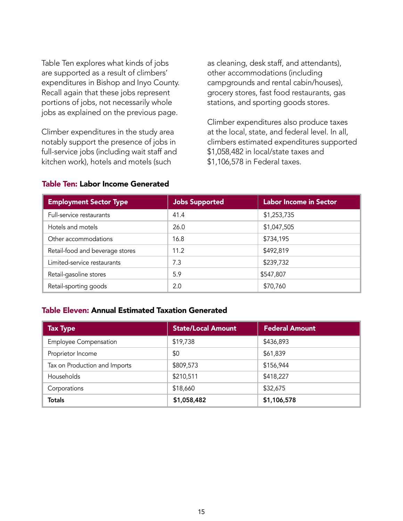Table Ten explores what kinds of jobs are supported as a result of climbers' expenditures in Bishop and Inyo County. Recall again that these jobs represent portions of jobs, not necessarily whole jobs as explained on the previous page.

Climber expenditures in the study area notably support the presence of jobs in full-service jobs (including wait staff and kitchen work), hotels and motels (such

as cleaning, desk staff, and attendants), other accommodations (including campgrounds and rental cabin/houses), grocery stores, fast food restaurants, gas stations, and sporting goods stores.

Climber expenditures also produce taxes at the local, state, and federal level. In all, climbers estimated expenditures supported \$1,058,482 in local/state taxes and \$1,106,578 in Federal taxes.

| <b>Employment Sector Type</b>   | <b>Jobs Supported</b> | <b>Labor Income in Sector</b> |
|---------------------------------|-----------------------|-------------------------------|
| Full-service restaurants        | 41.4                  | \$1,253,735                   |
| Hotels and motels               | 26.0                  | \$1,047,505                   |
| Other accommodations            | 16.8                  | \$734,195                     |
| Retail-food and beverage stores | 11.2                  | \$492,819                     |
| Limited-service restaurants     | 7.3                   | \$239,732                     |
| Retail-gasoline stores          | 5.9                   | \$547,807                     |
| Retail-sporting goods           | 2.0                   | \$70,760                      |

#### Table Ten: Labor Income Generated

#### Table Eleven: Annual Estimated Taxation Generated

| <b>Tax Type</b>               | <b>State/Local Amount</b> | <b>Federal Amount</b> |
|-------------------------------|---------------------------|-----------------------|
| <b>Employee Compensation</b>  | \$19,738                  | \$436,893             |
| Proprietor Income             | \$0                       | \$61,839              |
| Tax on Production and Imports | \$809,573                 | \$156,944             |
| Households                    | \$210,511                 | \$418,227             |
| Corporations                  | \$18,660                  | \$32,675              |
| <b>Totals</b>                 | \$1,058,482               | \$1,106,578           |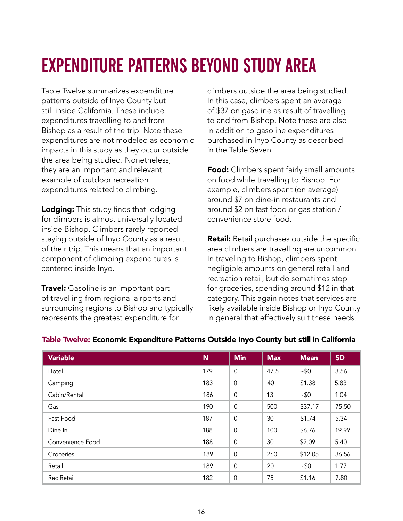## EXPENDITURE PATTERNS BEYOND STUDY AREA

Table Twelve summarizes expenditure patterns outside of Inyo County but still inside California. These include expenditures travelling to and from Bishop as a result of the trip. Note these expenditures are not modeled as economic impacts in this study as they occur outside the area being studied. Nonetheless, they are an important and relevant example of outdoor recreation expenditures related to climbing.

**Lodging:** This study finds that lodging for climbers is almost universally located inside Bishop. Climbers rarely reported staying outside of Inyo County as a result of their trip. This means that an important component of climbing expenditures is centered inside Inyo.

**Travel:** Gasoline is an important part of travelling from regional airports and surrounding regions to Bishop and typically represents the greatest expenditure for

climbers outside the area being studied. In this case, climbers spent an average of \$37 on gasoline as result of travelling to and from Bishop. Note these are also in addition to gasoline expenditures purchased in Inyo County as described in the Table Seven.

**Food:** Climbers spent fairly small amounts on food while travelling to Bishop. For example, climbers spent (on average) around \$7 on dine-in restaurants and around \$2 on fast food or gas station / convenience store food.

**Retail:** Retail purchases outside the specific area climbers are travelling are uncommon. In traveling to Bishop, climbers spent negligible amounts on general retail and recreation retail, but do sometimes stop for groceries, spending around \$12 in that category. This again notes that services are likely available inside Bishop or Inyo County in general that effectively suit these needs.

| <b>Variable</b>   | N   | <b>Min</b>     | <b>Max</b> | <b>Mean</b> | <b>SD</b> |
|-------------------|-----|----------------|------------|-------------|-----------|
| Hotel             | 179 | $\mathbf 0$    | 47.5       | ~50         | 3.56      |
| Camping           | 183 | $\mathbf 0$    | 40         | \$1.38      | 5.83      |
| Cabin/Rental      | 186 | $\mathbf 0$    | 13         | $~10^{-5}$  | 1.04      |
| Gas               | 190 | $\overline{0}$ | 500        | \$37.17     | 75.50     |
| Fast Food         | 187 | $\mathbf 0$    | 30         | \$1.74      | 5.34      |
| Dine In           | 188 | $\overline{0}$ | 100        | \$6.76      | 19.99     |
| Convenience Food  | 188 | $\mathbf 0$    | 30         | \$2.09      | 5.40      |
| Groceries         | 189 | $\overline{0}$ | 260        | \$12.05     | 36.56     |
| Retail            | 189 | $\mathbf 0$    | 20         | ~10         | 1.77      |
| <b>Rec Retail</b> | 182 | $\mathbf 0$    | 75         | \$1.16      | 7.80      |

#### Table Twelve: Economic Expenditure Patterns Outside Inyo County but still in California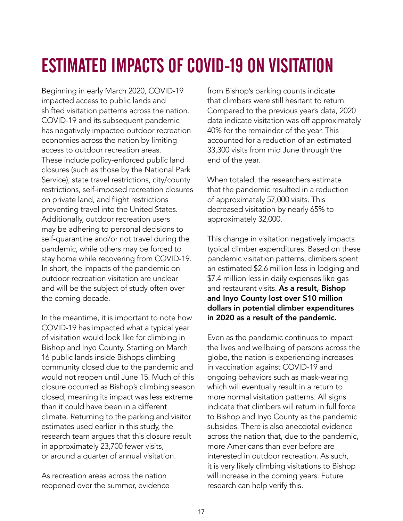### ESTIMATED IMPACTS OF COVID-19 ON VISITATION

Beginning in early March 2020, COVID-19 impacted access to public lands and shifted visitation patterns across the nation. COVID-19 and its subsequent pandemic has negatively impacted outdoor recreation economies across the nation by limiting access to outdoor recreation areas. These include policy-enforced public land closures (such as those by the National Park Service), state travel restrictions, city/county restrictions, self-imposed recreation closures on private land, and flight restrictions preventing travel into the United States. Additionally, outdoor recreation users may be adhering to personal decisions to self-quarantine and/or not travel during the pandemic, while others may be forced to stay home while recovering from COVID-19. In short, the impacts of the pandemic on outdoor recreation visitation are unclear and will be the subject of study often over the coming decade.

In the meantime, it is important to note how COVID-19 has impacted what a typical year of visitation would look like for climbing in Bishop and Inyo County. Starting on March 16 public lands inside Bishops climbing community closed due to the pandemic and would not reopen until June 15. Much of this closure occurred as Bishop's climbing season closed, meaning its impact was less extreme than it could have been in a different climate. Returning to the parking and visitor estimates used earlier in this study, the research team argues that this closure result in approximately 23,700 fewer visits, or around a quarter of annual visitation.

As recreation areas across the nation reopened over the summer, evidence from Bishop's parking counts indicate that climbers were still hesitant to return. Compared to the previous year's data, 2020 data indicate visitation was off approximately 40% for the remainder of the year. This accounted for a reduction of an estimated 33,300 visits from mid June through the end of the year.

When totaled, the researchers estimate that the pandemic resulted in a reduction of approximately 57,000 visits. This decreased visitation by nearly 65% to approximately 32,000.

This change in visitation negatively impacts typical climber expenditures. Based on these pandemic visitation patterns, climbers spent an estimated \$2.6 million less in lodging and \$7.4 million less in daily expenses like gas and restaurant visits. As a result, Bishop and Inyo County lost over \$10 million dollars in potential climber expenditures in 2020 as a result of the pandemic.

Even as the pandemic continues to impact the lives and wellbeing of persons across the globe, the nation is experiencing increases in vaccination against COVID-19 and ongoing behaviors such as mask-wearing which will eventually result in a return to more normal visitation patterns. All signs indicate that climbers will return in full force to Bishop and Inyo County as the pandemic subsides. There is also anecdotal evidence across the nation that, due to the pandemic, more Americans than ever before are interested in outdoor recreation. As such, it is very likely climbing visitations to Bishop will increase in the coming years. Future research can help verify this.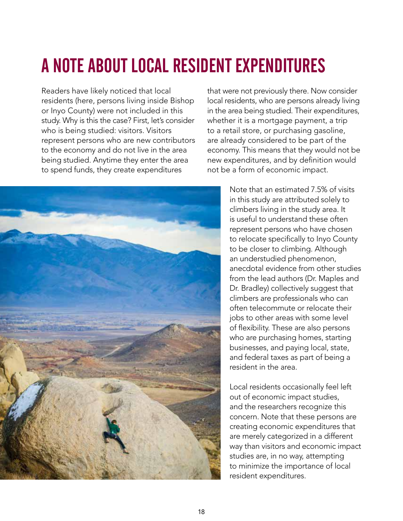## A NOTE ABOUT LOCAL RESIDENT EXPENDITURES

Readers have likely noticed that local residents (here, persons living inside Bishop or Inyo County) were not included in this study. Why is this the case? First, let's consider who is being studied: visitors. Visitors represent persons who are new contributors to the economy and do not live in the area being studied. Anytime they enter the area to spend funds, they create expenditures



that were not previously there. Now consider local residents, who are persons already living in the area being studied. Their expenditures, whether it is a mortgage payment, a trip to a retail store, or purchasing gasoline, are already considered to be part of the economy. This means that they would not be new expenditures, and by definition would not be a form of economic impact.

> Note that an estimated 7.5% of visits in this study are attributed solely to climbers living in the study area. It is useful to understand these often represent persons who have chosen to relocate specifically to Inyo County to be closer to climbing. Although an understudied phenomenon, anecdotal evidence from other studies from the lead authors (Dr. Maples and Dr. Bradley) collectively suggest that climbers are professionals who can often telecommute or relocate their jobs to other areas with some level of flexibility. These are also persons who are purchasing homes, starting businesses, and paying local, state, and federal taxes as part of being a resident in the area.

> Local residents occasionally feel left out of economic impact studies, and the researchers recognize this concern. Note that these persons are creating economic expenditures that are merely categorized in a different way than visitors and economic impact studies are, in no way, attempting to minimize the importance of local resident expenditures.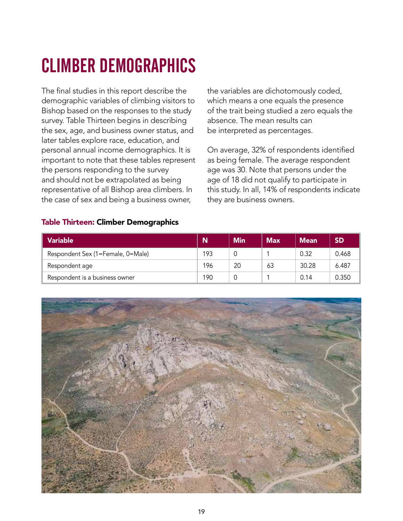## CLIMBER DEMOGRAPHICS

The final studies in this report describe the demographic variables of climbing visitors to Bishop based on the responses to the study survey. Table Thirteen begins in describing the sex, age, and business owner status, and later tables explore race, education, and personal annual income demographics. It is important to note that these tables represent the persons responding to the survey and should not be extrapolated as being representative of all Bishop area climbers. In the case of sex and being a business owner,

the variables are dichotomously coded, which means a one equals the presence of the trait being studied a zero equals the absence. The mean results can be interpreted as percentages.

On average, 32% of respondents identified as being female. The average respondent age was 30. Note that persons under the age of 18 did not qualify to participate in this study. In all, 14% of respondents indicate they are business owners.

#### Table Thirteen: Climber Demographics

| <b>Variable</b>                   | N   | <b>Min</b> | <b>Max</b> | <b>Mean</b> | <b>SD</b> |
|-----------------------------------|-----|------------|------------|-------------|-----------|
| Respondent Sex (1=Female, 0=Male) | 193 |            |            | 0.32        | 0.468     |
| Respondent age                    | 196 | 20         | 63         | 30.28       | 6.487     |
| Respondent is a business owner    | 190 |            |            | 0.14        | 0.350     |

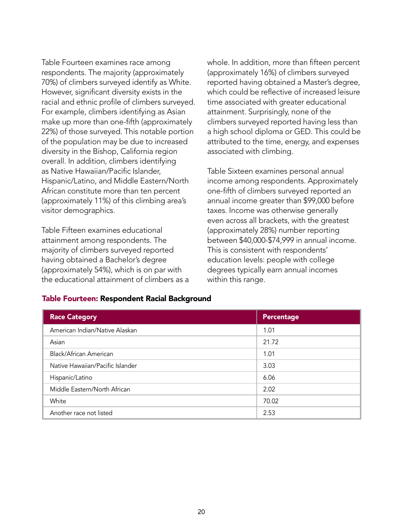Table Fourteen examines race among respondents. The majority (approximately 70%) of climbers surveyed identify as White. However, significant diversity exists in the racial and ethnic profile of climbers surveyed. For example, climbers identifying as Asian make up more than one-fifth (approximately 22%) of those surveyed. This notable portion of the population may be due to increased diversity in the Bishop, California region overall. In addition, climbers identifying as Native Hawaiian/Pacific Islander, Hispanic/Latino, and Middle Eastern/North African constitute more than ten percent (approximately 11%) of this climbing area's visitor demographics.

Table Fifteen examines educational attainment among respondents. The majority of climbers surveyed reported having obtained a Bachelor's degree (approximately 54%), which is on par with the educational attainment of climbers as a whole. In addition, more than fifteen percent (approximately 16%) of climbers surveyed reported having obtained a Master's degree, which could be reflective of increased leisure time associated with greater educational attainment. Surprisingly, none of the climbers surveyed reported having less than a high school diploma or GED. This could be attributed to the time, energy, and expenses associated with climbing.

Table Sixteen examines personal annual income among respondents. Approximately one-fifth of climbers surveyed reported an annual income greater than \$99,000 before taxes. Income was otherwise generally even across all brackets, with the greatest (approximately 28%) number reporting between \$40,000-\$74,999 in annual income. This is consistent with respondents' education levels: people with college degrees typically earn annual incomes within this range.

| <b>Race Category</b>             | Percentage |
|----------------------------------|------------|
| American Indian/Native Alaskan   | 1.01       |
| Asian                            | 21.72      |
| Black/African American           | 1.01       |
| Native Hawaiian/Pacific Islander | 3.03       |
| Hispanic/Latino                  | 6.06       |
| Middle Eastern/North African     | 2.02       |
| White                            | 70.02      |
| Another race not listed          | 2.53       |

#### Table Fourteen: Respondent Racial Background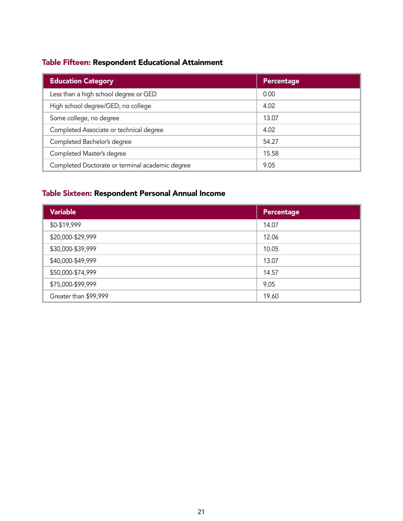### Table Fifteen: Respondent Educational Attainment

| <b>Education Category</b>                       | Percentage |
|-------------------------------------------------|------------|
| Less than a high school degree or GED           | 0.00       |
| High school degree/GED, no college              | 4.02       |
| Some college, no degree                         | 13.07      |
| Completed Associate or technical degree         | 4.02       |
| Completed Bachelor's degree                     | 54.27      |
| Completed Master's degree                       | 15.58      |
| Completed Doctorate or terminal academic degree | 9.05       |

### Table Sixteen: Respondent Personal Annual Income

| <b>Variable</b>       | Percentage |
|-----------------------|------------|
| \$0-\$19,999          | 14.07      |
| \$20,000-\$29,999     | 12.06      |
| \$30,000-\$39,999     | 10.05      |
| \$40,000-\$49,999     | 13.07      |
| \$50,000-\$74,999     | 14.57      |
| \$75,000-\$99,999     | 9.05       |
| Greater than \$99,999 | 19.60      |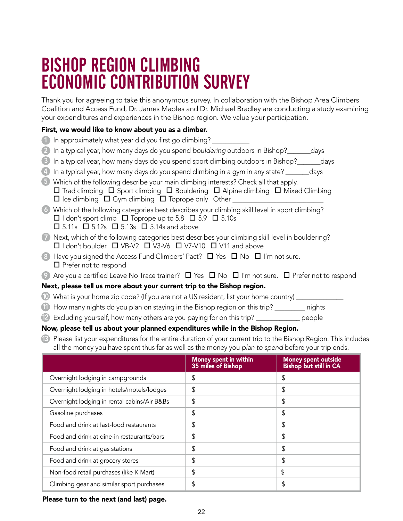### BISHOP REGION CLIMBING ECONOMIC CONTRIBUTION SURVEY

Thank you for agreeing to take this anonymous survey. In collaboration with the Bishop Area Climbers Coalition and Access Fund, Dr. James Maples and Dr. Michael Bradley are conducting a study examining your expenditures and experiences in the Bishop region. We value your participation.

#### First, we would like to know about you as a climber.

- 1 In approximately what year did you first go climbing? \_\_\_\_\_\_\_\_\_\_\_
- 2 In a typical year, how many days do you spend *bouldering* outdoors in Bishop?\_\_\_\_\_\_\_days
- 3 In a typical year, how many days do you spend sport climbing outdoors in Bishop?\_\_\_\_\_\_\_days
- 4 In a typical year, how many days do you spend climbing in a gym in any state? \_\_\_\_\_\_\_days
- 5 Which of the following describe your main climbing interests? Check all that apply.  $\square$  Trad climbing  $\square$  Sport climbing  $\square$  Bouldering  $\square$  Alpine climbing  $\square$  Mixed Climbing  $\Box$  Ice climbing  $\Box$  Gym climbing  $\Box$  Toprope only Other  $\Box$
- $\Box$  I don't sport climb  $\Box$  Toprope up to 5.8  $\Box$  5.9  $\Box$  5.10s 6 Which of the following categories best describes your climbing skill level in sport climbing?  $\Box$  5.11s  $\Box$  5.12s  $\Box$  5.13s  $\Box$  5.14s and above
- 7 Next, which of the following categories best describes your climbing skill level in bouldering?  $\Box$  I don't boulder  $\Box$  VB-V2  $\Box$  V3-V6  $\Box$  V7-V10  $\Box$  V11 and above
- 8 Have you signed the Access Fund Climbers' Pact?  $\Box$  Yes  $\Box$  No  $\Box$  I'm not sure.  $\square$  Prefer not to respond
- 9) Are you a certified Leave No Trace trainer?  $\Box$  Yes  $\Box$  No  $\Box$  I'm not sure.  $\Box$  Prefer not to respond

#### Next, please tell us more about your current trip to the Bishop region.

- 10 What is your home zip code? (If you are not a US resident, list your home country) \_\_\_\_\_\_\_\_\_\_\_\_\_\_
- 11 How many nights do you plan on staying in the Bishop region on this trip? \_\_\_\_\_\_\_\_\_ nights
- 12 Excluding yourself, how many others are you paying for on this trip? \_\_\_\_\_\_\_\_\_\_\_\_\_ people

#### Now, please tell us about your planned expenditures while in the Bishop Region.

Please list your expenditures for the entire duration of your current trip to the Bishop Region. This includes 13 all the money you have spent thus far as well as the money you *plan to spend* before your trip ends.

|                                             | Money spent in within<br>35 miles of Bishop | Money spent outside<br>Bishop but still in CA |
|---------------------------------------------|---------------------------------------------|-----------------------------------------------|
| Overnight lodging in campgrounds            | \$                                          | \$                                            |
| Overnight lodging in hotels/motels/lodges   | \$                                          | \$                                            |
| Overnight lodging in rental cabins/Air B&Bs | \$                                          | \$                                            |
| Gasoline purchases                          | \$                                          | \$                                            |
| Food and drink at fast-food restaurants     | \$                                          | \$                                            |
| Food and drink at dine-in restaurants/bars  | \$                                          | \$                                            |
| Food and drink at gas stations              | \$                                          | \$                                            |
| Food and drink at grocery stores            | \$                                          | \$                                            |
| Non-food retail purchases (like K Mart)     | \$                                          | \$                                            |
| Climbing gear and similar sport purchases   | \$                                          | \$                                            |

Please turn to the next (and last) page.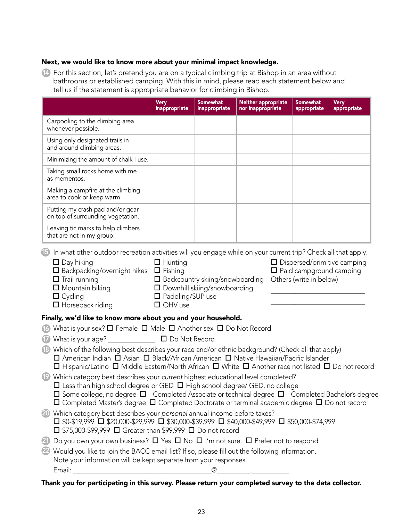#### Next, we would like to know more about your minimal impact knowledge.

14 For this section, let's pretend you are on a typical climbing trip at Bishop in an area without bathrooms or established camping. With this in mind, please read each statement below and tell us if the statement is appropriate behavior for climbing in Bishop.

|                                                                                                                                                                                                                                                                                                                                                                                                       | <b>Very</b><br>inappropriate | Somewhat<br>inappropriate | <b>Neither appropriate</b><br>nor inappropriate | <b>Somewhat</b><br>appropriate | <b>Very</b><br>appropriate |
|-------------------------------------------------------------------------------------------------------------------------------------------------------------------------------------------------------------------------------------------------------------------------------------------------------------------------------------------------------------------------------------------------------|------------------------------|---------------------------|-------------------------------------------------|--------------------------------|----------------------------|
| Carpooling to the climbing area<br>whenever possible.                                                                                                                                                                                                                                                                                                                                                 |                              |                           |                                                 |                                |                            |
| Using only designated trails in<br>and around climbing areas.                                                                                                                                                                                                                                                                                                                                         |                              |                           |                                                 |                                |                            |
| Minimizing the amount of chalk I use.                                                                                                                                                                                                                                                                                                                                                                 |                              |                           |                                                 |                                |                            |
| Taking small rocks home with me<br>as mementos.                                                                                                                                                                                                                                                                                                                                                       |                              |                           |                                                 |                                |                            |
| Making a campfire at the climbing<br>area to cook or keep warm.                                                                                                                                                                                                                                                                                                                                       |                              |                           |                                                 |                                |                            |
| Putting my crash pad and/or gear<br>on top of surrounding vegetation.                                                                                                                                                                                                                                                                                                                                 |                              |                           |                                                 |                                |                            |
| Leaving tic marks to help climbers<br>that are not in my group.                                                                                                                                                                                                                                                                                                                                       |                              |                           |                                                 |                                |                            |
| $\Box$ Horseback riding<br>Finally, we'd like to know more about you and your household.                                                                                                                                                                                                                                                                                                              | $\Box$ OHV use               |                           |                                                 |                                |                            |
| What is your sex? $\square$ Female $\square$ Male $\square$ Another sex $\square$ Do Not Record<br>(16)                                                                                                                                                                                                                                                                                               |                              |                           |                                                 |                                |                            |
| $\mathbf{T}$                                                                                                                                                                                                                                                                                                                                                                                          |                              |                           |                                                 |                                |                            |
| Which of the following best describes your race and/or ethnic background? (Check all that apply)<br>$\Box$ American Indian $\Box$ Asian $\Box$ Black/African American $\Box$ Native Hawaiian/Pacific Islander<br>$\Box$ Hispanic/Latino $\Box$ Middle Eastern/North African $\Box$ White $\Box$ Another race not listed $\Box$ Do not record                                                          |                              |                           |                                                 |                                |                            |
| (19)<br>Which category best describes your current highest educational level completed?<br>$\Box$ Less than high school degree or GED $\Box$ High school degree/ GED, no college<br>□ Some college, no degree □ Completed Associate or technical degree □ Completed Bachelor's degree<br>$\Box$ Completed Master's degree $\Box$ Completed Doctorate or terminal academic degree $\Box$ Do not record |                              |                           |                                                 |                                |                            |
| Which category best describes your personal annual income before taxes?<br>(20)<br>$\square$ \$0-\$19,999 $\square$ \$20,000-\$29,999 $\square$ \$30,000-\$39,999 $\square$ \$40,000-\$49,999 $\square$ \$50,000-\$74,999<br>$\Box$ \$75,000-\$99,999 $\Box$ Greater than \$99,999 $\Box$ Do not record                                                                                               |                              |                           |                                                 |                                |                            |
| Do you own your own business? $\Box$ Yes $\Box$ No $\Box$ I'm not sure. $\Box$ Prefer not to respond<br>(21)                                                                                                                                                                                                                                                                                          |                              |                           |                                                 |                                |                            |
| (22)<br>Would you like to join the BACC email list? If so, please fill out the following information.<br>Note your information will be kept separate from your responses.                                                                                                                                                                                                                             |                              |                           |                                                 |                                |                            |
|                                                                                                                                                                                                                                                                                                                                                                                                       |                              | $^{\textregistered}$      |                                                 |                                |                            |

Thank you for participating in this survey. Please return your completed survey to the data collector.